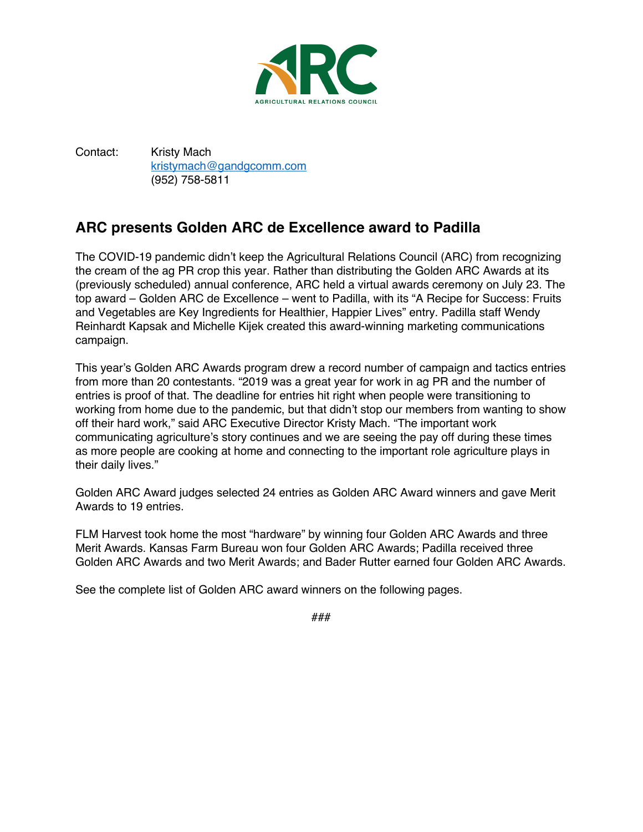

Contact: Kristy Mach kristymach@gandgcomm.com (952) 758-5811

## **ARC presents Golden ARC de Excellence award to Padilla**

The COVID-19 pandemic didn't keep the Agricultural Relations Council (ARC) from recognizing the cream of the ag PR crop this year. Rather than distributing the Golden ARC Awards at its (previously scheduled) annual conference, ARC held a virtual awards ceremony on July 23. The top award – Golden ARC de Excellence – went to Padilla, with its "A Recipe for Success: Fruits and Vegetables are Key Ingredients for Healthier, Happier Lives" entry. Padilla staff Wendy Reinhardt Kapsak and Michelle Kijek created this award-winning marketing communications campaign.

This year's Golden ARC Awards program drew a record number of campaign and tactics entries from more than 20 contestants. "2019 was a great year for work in ag PR and the number of entries is proof of that. The deadline for entries hit right when people were transitioning to working from home due to the pandemic, but that didn't stop our members from wanting to show off their hard work," said ARC Executive Director Kristy Mach. "The important work communicating agriculture's story continues and we are seeing the pay off during these times as more people are cooking at home and connecting to the important role agriculture plays in their daily lives."

Golden ARC Award judges selected 24 entries as Golden ARC Award winners and gave Merit Awards to 19 entries.

FLM Harvest took home the most "hardware" by winning four Golden ARC Awards and three Merit Awards. Kansas Farm Bureau won four Golden ARC Awards; Padilla received three Golden ARC Awards and two Merit Awards; and Bader Rutter earned four Golden ARC Awards.

See the complete list of Golden ARC award winners on the following pages.

###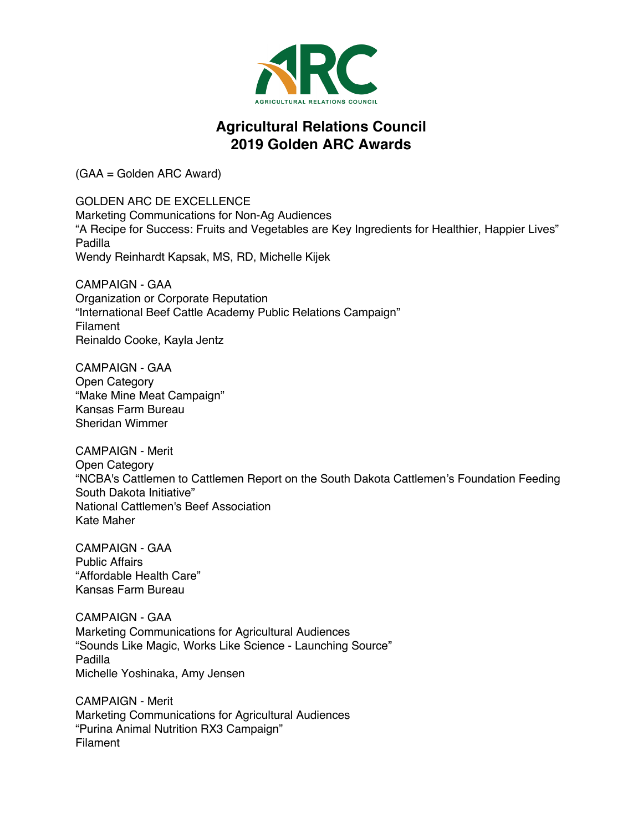

## **Agricultural Relations Council 2019 Golden ARC Awards**

(GAA = Golden ARC Award)

GOLDEN ARC DE EXCELLENCE Marketing Communications for Non-Ag Audiences "A Recipe for Success: Fruits and Vegetables are Key Ingredients for Healthier, Happier Lives" Padilla Wendy Reinhardt Kapsak, MS, RD, Michelle Kijek

CAMPAIGN - GAA Organization or Corporate Reputation "International Beef Cattle Academy Public Relations Campaign" Filament Reinaldo Cooke, Kayla Jentz

CAMPAIGN - GAA Open Category "Make Mine Meat Campaign" Kansas Farm Bureau Sheridan Wimmer

CAMPAIGN - Merit Open Category "NCBA's Cattlemen to Cattlemen Report on the South Dakota Cattlemen's Foundation Feeding South Dakota Initiative" National Cattlemen's Beef Association Kate Maher

CAMPAIGN - GAA Public Affairs "Affordable Health Care" Kansas Farm Bureau

CAMPAIGN - GAA Marketing Communications for Agricultural Audiences "Sounds Like Magic, Works Like Science - Launching Source" Padilla Michelle Yoshinaka, Amy Jensen

CAMPAIGN - Merit Marketing Communications for Agricultural Audiences "Purina Animal Nutrition RX3 Campaign" Filament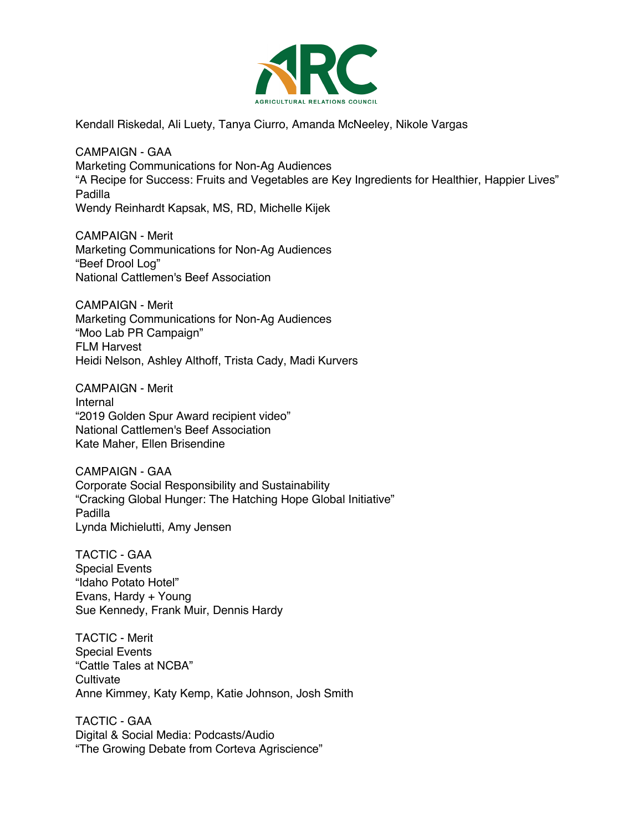

Kendall Riskedal, Ali Luety, Tanya Ciurro, Amanda McNeeley, Nikole Vargas

CAMPAIGN - GAA Marketing Communications for Non-Ag Audiences "A Recipe for Success: Fruits and Vegetables are Key Ingredients for Healthier, Happier Lives" Padilla Wendy Reinhardt Kapsak, MS, RD, Michelle Kijek

CAMPAIGN - Merit Marketing Communications for Non-Ag Audiences "Beef Drool Log" National Cattlemen's Beef Association

CAMPAIGN - Merit Marketing Communications for Non-Ag Audiences "Moo Lab PR Campaign" FLM Harvest Heidi Nelson, Ashley Althoff, Trista Cady, Madi Kurvers

CAMPAIGN - Merit Internal "2019 Golden Spur Award recipient video" National Cattlemen's Beef Association Kate Maher, Ellen Brisendine

CAMPAIGN - GAA Corporate Social Responsibility and Sustainability "Cracking Global Hunger: The Hatching Hope Global Initiative" Padilla Lynda Michielutti, Amy Jensen

TACTIC - GAA Special Events "Idaho Potato Hotel" Evans, Hardy + Young Sue Kennedy, Frank Muir, Dennis Hardy

TACTIC - Merit Special Events "Cattle Tales at NCBA" **Cultivate** Anne Kimmey, Katy Kemp, Katie Johnson, Josh Smith

TACTIC - GAA Digital & Social Media: Podcasts/Audio "The Growing Debate from Corteva Agriscience"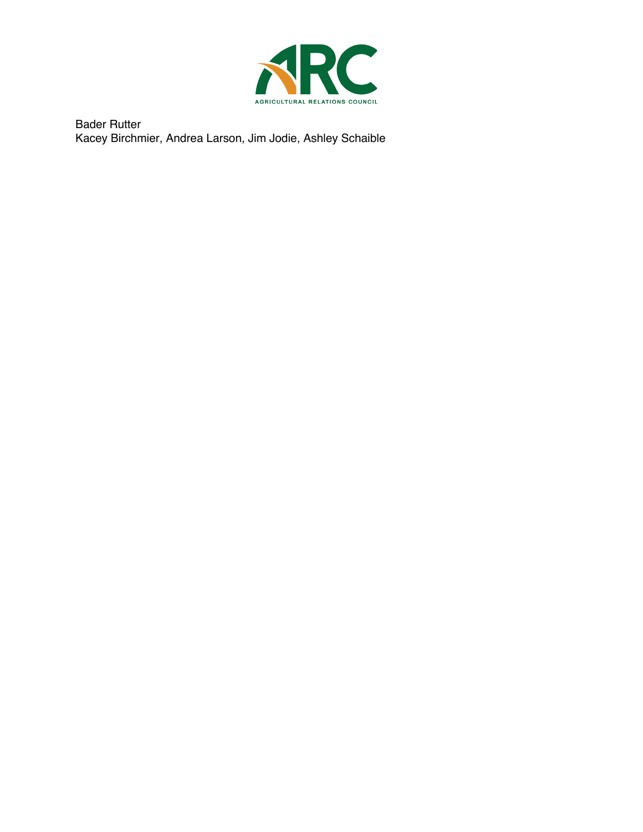

Bader Rutter Kacey Birchmier, Andrea Larson, Jim Jodie, Ashley Schaible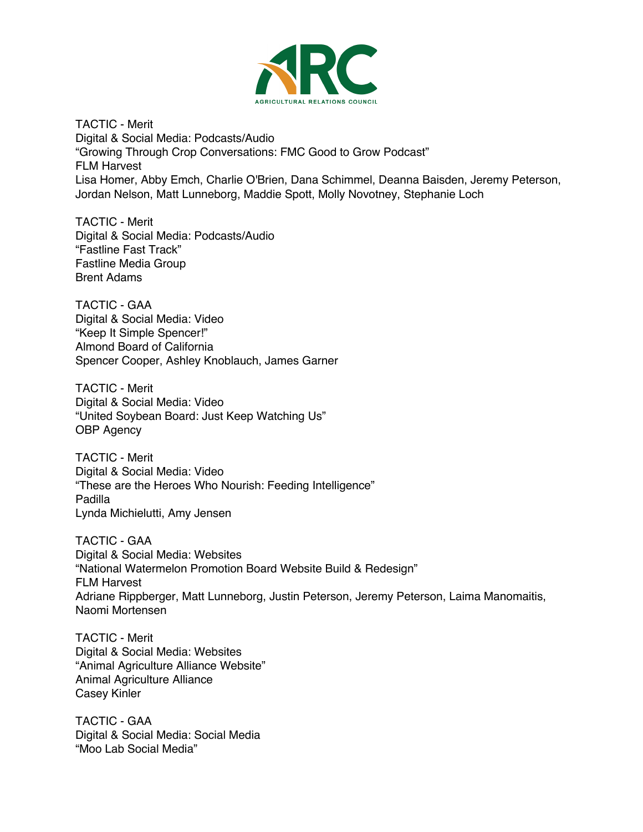

TACTIC - Merit Digital & Social Media: Podcasts/Audio "Growing Through Crop Conversations: FMC Good to Grow Podcast" FLM Harvest Lisa Homer, Abby Emch, Charlie O'Brien, Dana Schimmel, Deanna Baisden, Jeremy Peterson, Jordan Nelson, Matt Lunneborg, Maddie Spott, Molly Novotney, Stephanie Loch

TACTIC - Merit Digital & Social Media: Podcasts/Audio "Fastline Fast Track" Fastline Media Group Brent Adams

TACTIC - GAA Digital & Social Media: Video "Keep It Simple Spencer!" Almond Board of California Spencer Cooper, Ashley Knoblauch, James Garner

TACTIC - Merit Digital & Social Media: Video "United Soybean Board: Just Keep Watching Us" OBP Agency

TACTIC - Merit Digital & Social Media: Video "These are the Heroes Who Nourish: Feeding Intelligence" Padilla Lynda Michielutti, Amy Jensen

TACTIC - GAA Digital & Social Media: Websites "National Watermelon Promotion Board Website Build & Redesign" FLM Harvest Adriane Rippberger, Matt Lunneborg, Justin Peterson, Jeremy Peterson, Laima Manomaitis, Naomi Mortensen

TACTIC - Merit Digital & Social Media: Websites "Animal Agriculture Alliance Website" Animal Agriculture Alliance Casey Kinler

TACTIC - GAA Digital & Social Media: Social Media "Moo Lab Social Media"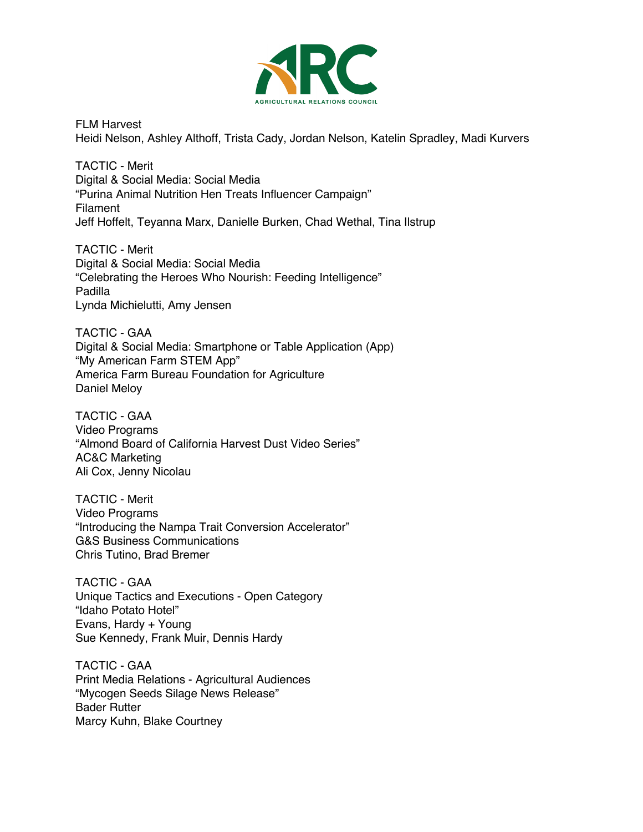

FLM Harvest Heidi Nelson, Ashley Althoff, Trista Cady, Jordan Nelson, Katelin Spradley, Madi Kurvers

TACTIC - Merit Digital & Social Media: Social Media "Purina Animal Nutrition Hen Treats Influencer Campaign" Filament Jeff Hoffelt, Teyanna Marx, Danielle Burken, Chad Wethal, Tina Ilstrup

TACTIC - Merit Digital & Social Media: Social Media "Celebrating the Heroes Who Nourish: Feeding Intelligence" Padilla Lynda Michielutti, Amy Jensen

TACTIC - GAA Digital & Social Media: Smartphone or Table Application (App) "My American Farm STEM App" America Farm Bureau Foundation for Agriculture Daniel Meloy

TACTIC - GAA Video Programs "Almond Board of California Harvest Dust Video Series" AC&C Marketing Ali Cox, Jenny Nicolau

TACTIC - Merit Video Programs "Introducing the Nampa Trait Conversion Accelerator" G&S Business Communications Chris Tutino, Brad Bremer

TACTIC - GAA Unique Tactics and Executions - Open Category "Idaho Potato Hotel" Evans, Hardy + Young Sue Kennedy, Frank Muir, Dennis Hardy

TACTIC - GAA Print Media Relations - Agricultural Audiences "Mycogen Seeds Silage News Release" Bader Rutter Marcy Kuhn, Blake Courtney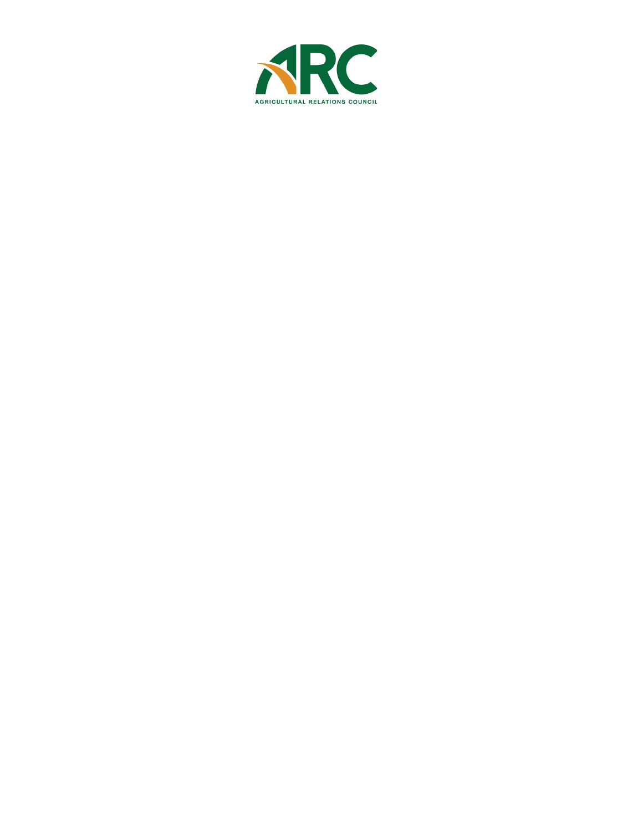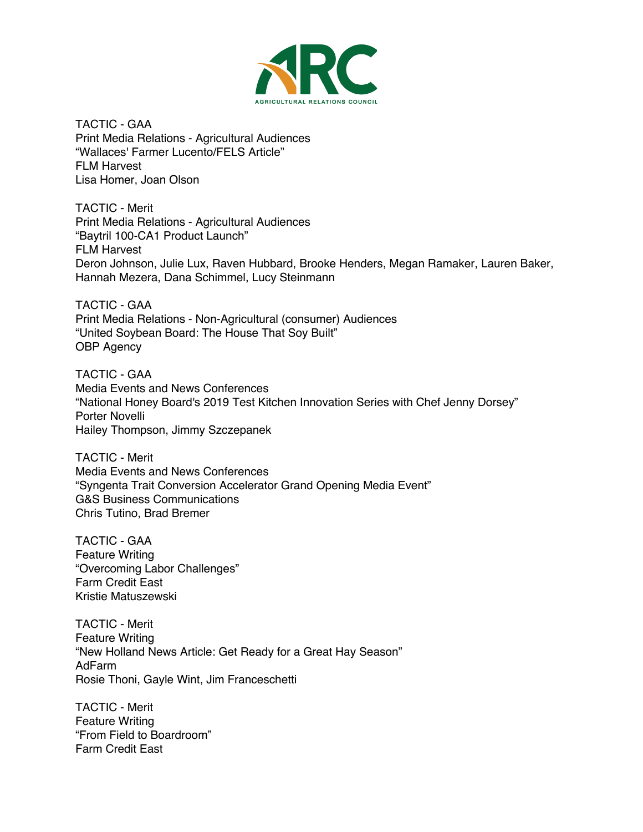

TACTIC - GAA Print Media Relations - Agricultural Audiences "Wallaces' Farmer Lucento/FELS Article" FLM Harvest Lisa Homer, Joan Olson

TACTIC - Merit Print Media Relations - Agricultural Audiences "Baytril 100-CA1 Product Launch" FLM Harvest Deron Johnson, Julie Lux, Raven Hubbard, Brooke Henders, Megan Ramaker, Lauren Baker, Hannah Mezera, Dana Schimmel, Lucy Steinmann

TACTIC - GAA Print Media Relations - Non-Agricultural (consumer) Audiences "United Soybean Board: The House That Soy Built" OBP Agency

TACTIC - GAA Media Events and News Conferences "National Honey Board's 2019 Test Kitchen Innovation Series with Chef Jenny Dorsey" Porter Novelli Hailey Thompson, Jimmy Szczepanek

TACTIC - Merit Media Events and News Conferences "Syngenta Trait Conversion Accelerator Grand Opening Media Event" G&S Business Communications Chris Tutino, Brad Bremer

TACTIC - GAA Feature Writing "Overcoming Labor Challenges" Farm Credit East Kristie Matuszewski

TACTIC - Merit Feature Writing "New Holland News Article: Get Ready for a Great Hay Season" AdFarm Rosie Thoni, Gayle Wint, Jim Franceschetti

TACTIC - Merit Feature Writing "From Field to Boardroom" Farm Credit East